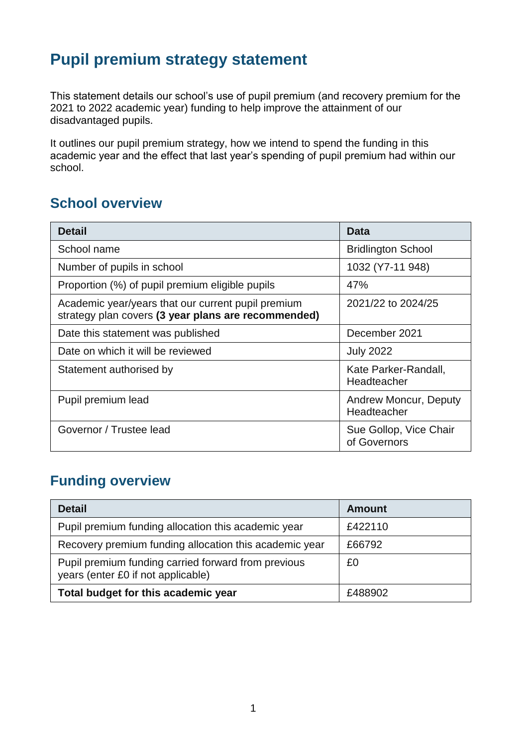# **Pupil premium strategy statement**

This statement details our school's use of pupil premium (and recovery premium for the 2021 to 2022 academic year) funding to help improve the attainment of our disadvantaged pupils.

It outlines our pupil premium strategy, how we intend to spend the funding in this academic year and the effect that last year's spending of pupil premium had within our school.

## **School overview**

| <b>Detail</b>                                                                                             | Data                                        |
|-----------------------------------------------------------------------------------------------------------|---------------------------------------------|
| School name                                                                                               | <b>Bridlington School</b>                   |
| Number of pupils in school                                                                                | 1032 (Y7-11 948)                            |
| Proportion (%) of pupil premium eligible pupils                                                           | 47%                                         |
| Academic year/years that our current pupil premium<br>strategy plan covers (3 year plans are recommended) | 2021/22 to 2024/25                          |
| Date this statement was published                                                                         | December 2021                               |
| Date on which it will be reviewed                                                                         | <b>July 2022</b>                            |
| Statement authorised by                                                                                   | Kate Parker-Randall,<br>Headteacher         |
| Pupil premium lead                                                                                        | <b>Andrew Moncur, Deputy</b><br>Headteacher |
| Governor / Trustee lead                                                                                   | Sue Gollop, Vice Chair<br>of Governors      |

# **Funding overview**

| <b>Detail</b>                                                                             | <b>Amount</b> |
|-------------------------------------------------------------------------------------------|---------------|
| Pupil premium funding allocation this academic year                                       | £422110       |
| Recovery premium funding allocation this academic year                                    | £66792        |
| Pupil premium funding carried forward from previous<br>years (enter £0 if not applicable) | £0            |
| Total budget for this academic year                                                       | £488902       |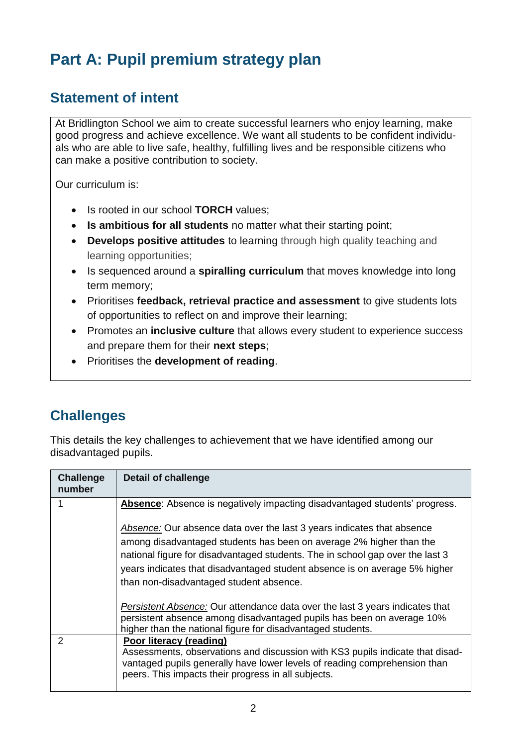# **Part A: Pupil premium strategy plan**

#### **Statement of intent**

At Bridlington School we aim to create successful learners who enjoy learning, make good progress and achieve excellence. We want all students to be confident individuals who are able to live safe, healthy, fulfilling lives and be responsible citizens who can make a positive contribution to society.

Our curriculum is:

- Is rooted in our school **TORCH** values;
- **Is ambitious for all students** no matter what their starting point;
- **Develops positive attitudes** to learning through high quality teaching and learning opportunities;
- Is sequenced around a **spiralling curriculum** that moves knowledge into long term memory;
- Prioritises **feedback, retrieval practice and assessment** to give students lots of opportunities to reflect on and improve their learning;
- Promotes an **inclusive culture** that allows every student to experience success and prepare them for their **next steps**;
- Prioritises the **development of reading**.

# **Challenges**

This details the key challenges to achievement that we have identified among our disadvantaged pupils.

| <b>Challenge</b><br>number | <b>Detail of challenge</b>                                                                                                                                                                                                                                                                                                                              |
|----------------------------|---------------------------------------------------------------------------------------------------------------------------------------------------------------------------------------------------------------------------------------------------------------------------------------------------------------------------------------------------------|
|                            | Absence: Absence is negatively impacting disadvantaged students' progress.                                                                                                                                                                                                                                                                              |
|                            | Absence: Our absence data over the last 3 years indicates that absence<br>among disadvantaged students has been on average 2% higher than the<br>national figure for disadvantaged students. The in school gap over the last 3<br>years indicates that disadvantaged student absence is on average 5% higher<br>than non-disadvantaged student absence. |
|                            | <i>Persistent Absence:</i> Our attendance data over the last 3 years indicates that<br>persistent absence among disadvantaged pupils has been on average 10%<br>higher than the national figure for disadvantaged students.                                                                                                                             |
| 2                          | Poor literacy (reading)<br>Assessments, observations and discussion with KS3 pupils indicate that disad-<br>vantaged pupils generally have lower levels of reading comprehension than<br>peers. This impacts their progress in all subjects.                                                                                                            |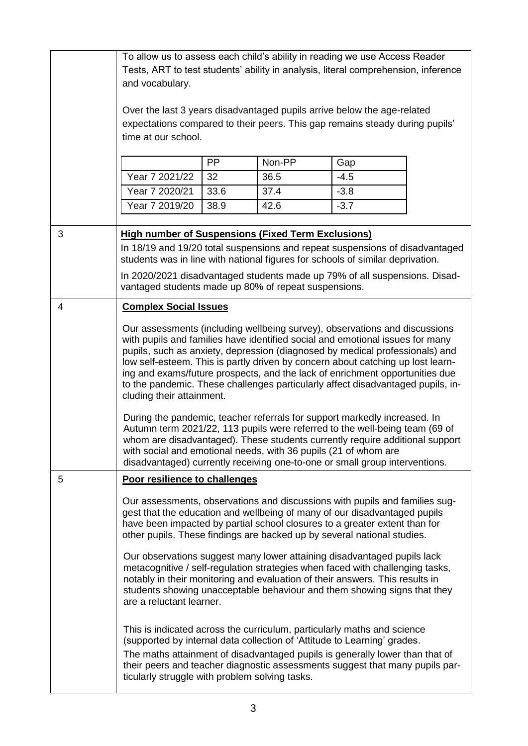|   | To allow us to assess each child's ability in reading we use Access Reader                                                                      |      |        |        |  |
|---|-------------------------------------------------------------------------------------------------------------------------------------------------|------|--------|--------|--|
|   | Tests, ART to test students' ability in analysis, literal comprehension, inference                                                              |      |        |        |  |
|   | and vocabulary.                                                                                                                                 |      |        |        |  |
|   |                                                                                                                                                 |      |        |        |  |
|   | Over the last 3 years disadvantaged pupils arrive below the age-related                                                                         |      |        |        |  |
|   | expectations compared to their peers. This gap remains steady during pupils'                                                                    |      |        |        |  |
|   | time at our school.                                                                                                                             |      |        |        |  |
|   |                                                                                                                                                 |      |        |        |  |
|   |                                                                                                                                                 | PP   | Non-PP | Gap    |  |
|   | Year 7 2021/22                                                                                                                                  | 32   | 36.5   | $-4.5$ |  |
|   | Year 7 2020/21                                                                                                                                  | 33.6 | 37.4   | $-3.8$ |  |
|   | Year 7 2019/20                                                                                                                                  | 38.9 | 42.6   | $-3.7$ |  |
|   |                                                                                                                                                 |      |        |        |  |
| 3 | <b>High number of Suspensions (Fixed Term Exclusions)</b>                                                                                       |      |        |        |  |
|   | In 18/19 and 19/20 total suspensions and repeat suspensions of disadvantaged                                                                    |      |        |        |  |
|   | students was in line with national figures for schools of similar deprivation.                                                                  |      |        |        |  |
|   | In 2020/2021 disadvantaged students made up 79% of all suspensions. Disad-                                                                      |      |        |        |  |
|   | vantaged students made up 80% of repeat suspensions.                                                                                            |      |        |        |  |
| 4 | <b>Complex Social Issues</b>                                                                                                                    |      |        |        |  |
|   | Our assessments (including wellbeing survey), observations and discussions                                                                      |      |        |        |  |
|   | with pupils and families have identified social and emotional issues for many                                                                   |      |        |        |  |
|   | pupils, such as anxiety, depression (diagnosed by medical professionals) and                                                                    |      |        |        |  |
|   | low self-esteem. This is partly driven by concern about catching up lost learn-                                                                 |      |        |        |  |
|   | ing and exams/future prospects, and the lack of enrichment opportunities due                                                                    |      |        |        |  |
|   | to the pandemic. These challenges particularly affect disadvantaged pupils, in-<br>cluding their attainment.                                    |      |        |        |  |
|   |                                                                                                                                                 |      |        |        |  |
|   | During the pandemic, teacher referrals for support markedly increased. In                                                                       |      |        |        |  |
|   | Autumn term 2021/22, 113 pupils were referred to the well-being team (69 of                                                                     |      |        |        |  |
|   | whom are disadvantaged). These students currently require additional support<br>with social and emotional needs, with 36 pupils (21 of whom are |      |        |        |  |
|   | disadvantaged) currently receiving one-to-one or small group interventions.                                                                     |      |        |        |  |
| 5 | Poor resilience to challenges                                                                                                                   |      |        |        |  |
|   |                                                                                                                                                 |      |        |        |  |
|   | Our assessments, observations and discussions with pupils and families sug-                                                                     |      |        |        |  |
|   | gest that the education and wellbeing of many of our disadvantaged pupils                                                                       |      |        |        |  |
|   | have been impacted by partial school closures to a greater extent than for                                                                      |      |        |        |  |
|   | other pupils. These findings are backed up by several national studies.                                                                         |      |        |        |  |
|   | Our observations suggest many lower attaining disadvantaged pupils lack                                                                         |      |        |        |  |
|   | metacognitive / self-regulation strategies when faced with challenging tasks,                                                                   |      |        |        |  |
|   | notably in their monitoring and evaluation of their answers. This results in                                                                    |      |        |        |  |
|   | students showing unacceptable behaviour and them showing signs that they                                                                        |      |        |        |  |
|   | are a reluctant learner.                                                                                                                        |      |        |        |  |
|   | This is indicated across the curriculum, particularly maths and science                                                                         |      |        |        |  |
|   | (supported by internal data collection of 'Attitude to Learning' grades.                                                                        |      |        |        |  |
|   | The maths attainment of disadvantaged pupils is generally lower than that of                                                                    |      |        |        |  |
|   | their peers and teacher diagnostic assessments suggest that many pupils par-                                                                    |      |        |        |  |
|   | ticularly struggle with problem solving tasks.                                                                                                  |      |        |        |  |
|   |                                                                                                                                                 |      |        |        |  |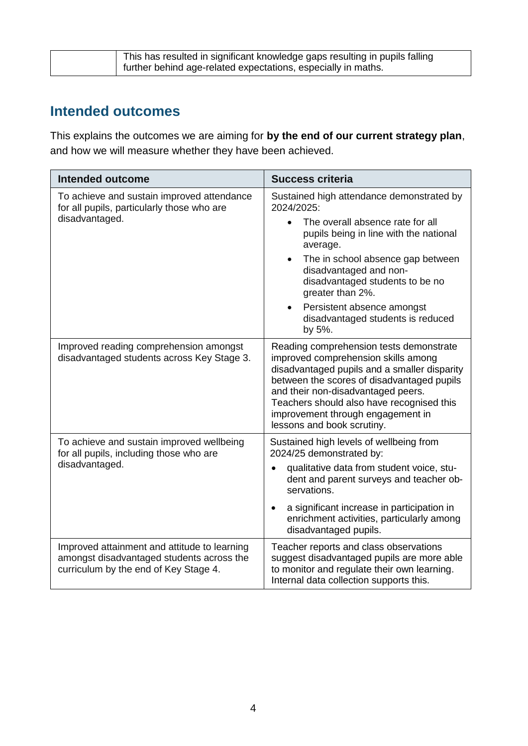| This has resulted in significant knowledge gaps resulting in pupils falling |
|-----------------------------------------------------------------------------|
| further behind age-related expectations, especially in maths.               |

## **Intended outcomes**

This explains the outcomes we are aiming for **by the end of our current strategy plan**, and how we will measure whether they have been achieved.

| <b>Intended outcome</b>                                                                                                            | <b>Success criteria</b>                                                                                                                                                                                                                                                                                                            |
|------------------------------------------------------------------------------------------------------------------------------------|------------------------------------------------------------------------------------------------------------------------------------------------------------------------------------------------------------------------------------------------------------------------------------------------------------------------------------|
| To achieve and sustain improved attendance<br>for all pupils, particularly those who are                                           | Sustained high attendance demonstrated by<br>2024/2025:                                                                                                                                                                                                                                                                            |
| disadvantaged.                                                                                                                     | The overall absence rate for all<br>$\bullet$<br>pupils being in line with the national<br>average.                                                                                                                                                                                                                                |
|                                                                                                                                    | The in school absence gap between<br>$\bullet$<br>disadvantaged and non-<br>disadvantaged students to be no<br>greater than 2%.                                                                                                                                                                                                    |
|                                                                                                                                    | Persistent absence amongst<br>$\bullet$<br>disadvantaged students is reduced<br>by 5%.                                                                                                                                                                                                                                             |
| Improved reading comprehension amongst<br>disadvantaged students across Key Stage 3.                                               | Reading comprehension tests demonstrate<br>improved comprehension skills among<br>disadvantaged pupils and a smaller disparity<br>between the scores of disadvantaged pupils<br>and their non-disadvantaged peers.<br>Teachers should also have recognised this<br>improvement through engagement in<br>lessons and book scrutiny. |
| To achieve and sustain improved wellbeing<br>for all pupils, including those who are                                               | Sustained high levels of wellbeing from<br>2024/25 demonstrated by:                                                                                                                                                                                                                                                                |
| disadvantaged.                                                                                                                     | qualitative data from student voice, stu-<br>dent and parent surveys and teacher ob-<br>servations.                                                                                                                                                                                                                                |
|                                                                                                                                    | a significant increase in participation in<br>$\bullet$<br>enrichment activities, particularly among<br>disadvantaged pupils.                                                                                                                                                                                                      |
| Improved attainment and attitude to learning<br>amongst disadvantaged students across the<br>curriculum by the end of Key Stage 4. | Teacher reports and class observations<br>suggest disadvantaged pupils are more able<br>to monitor and regulate their own learning.<br>Internal data collection supports this.                                                                                                                                                     |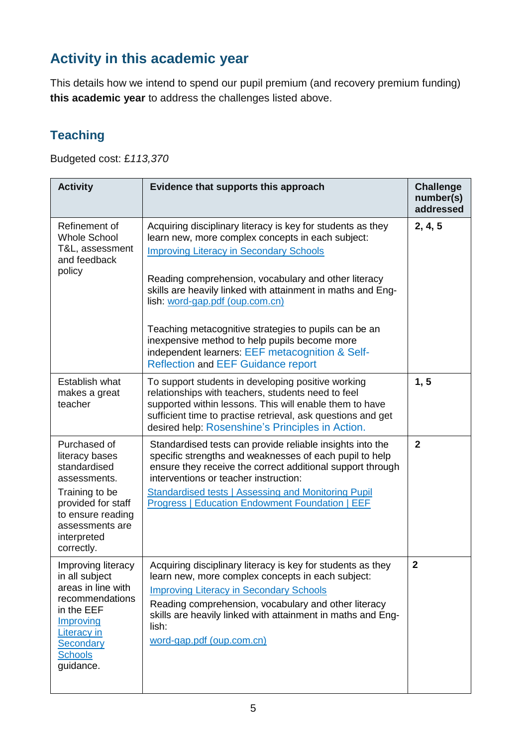# **Activity in this academic year**

This details how we intend to spend our pupil premium (and recovery premium funding) **this academic year** to address the challenges listed above.

#### **Teaching**

 $\mathbf l$ 

Budgeted cost: £*113,370*

| <b>Activity</b>                                                                                                                                                             | Evidence that supports this approach                                                                                                                                                                                                                                                                                                                                                                                                                                                                                                   | <b>Challenge</b><br>number(s)<br>addressed |
|-----------------------------------------------------------------------------------------------------------------------------------------------------------------------------|----------------------------------------------------------------------------------------------------------------------------------------------------------------------------------------------------------------------------------------------------------------------------------------------------------------------------------------------------------------------------------------------------------------------------------------------------------------------------------------------------------------------------------------|--------------------------------------------|
| Refinement of<br><b>Whole School</b><br>T&L, assessment<br>and feedback<br>policy                                                                                           | Acquiring disciplinary literacy is key for students as they<br>learn new, more complex concepts in each subject:<br><b>Improving Literacy in Secondary Schools</b><br>Reading comprehension, vocabulary and other literacy<br>skills are heavily linked with attainment in maths and Eng-<br>lish: word-gap.pdf (oup.com.cn)<br>Teaching metacognitive strategies to pupils can be an<br>inexpensive method to help pupils become more<br>independent learners: EEF metacognition & Self-<br><b>Reflection and EEF Guidance report</b> | 2, 4, 5                                    |
| Establish what<br>makes a great<br>teacher                                                                                                                                  | To support students in developing positive working<br>relationships with teachers, students need to feel<br>supported within lessons. This will enable them to have<br>sufficient time to practise retrieval, ask questions and get<br>desired help: Rosenshine's Principles in Action.                                                                                                                                                                                                                                                | 1, 5                                       |
| Purchased of<br>literacy bases<br>standardised<br>assessments.<br>Training to be<br>provided for staff<br>to ensure reading<br>assessments are<br>interpreted<br>correctly. | Standardised tests can provide reliable insights into the<br>specific strengths and weaknesses of each pupil to help<br>ensure they receive the correct additional support through<br>interventions or teacher instruction:<br><b>Standardised tests   Assessing and Monitoring Pupil</b><br><b>Progress   Education Endowment Foundation   EEF</b>                                                                                                                                                                                    | $\overline{2}$                             |
| Improving literacy<br>in all subject<br>areas in line with<br>recommendations<br>in the EEF<br>Improving<br><b>Literacy in</b><br>Secondary<br><b>Schools</b><br>guidance.  | Acquiring disciplinary literacy is key for students as they<br>learn new, more complex concepts in each subject:<br><b>Improving Literacy in Secondary Schools</b><br>Reading comprehension, vocabulary and other literacy<br>skills are heavily linked with attainment in maths and Eng-<br>lish:<br>word-gap.pdf (oup.com.cn)                                                                                                                                                                                                        | $\mathbf{2}$                               |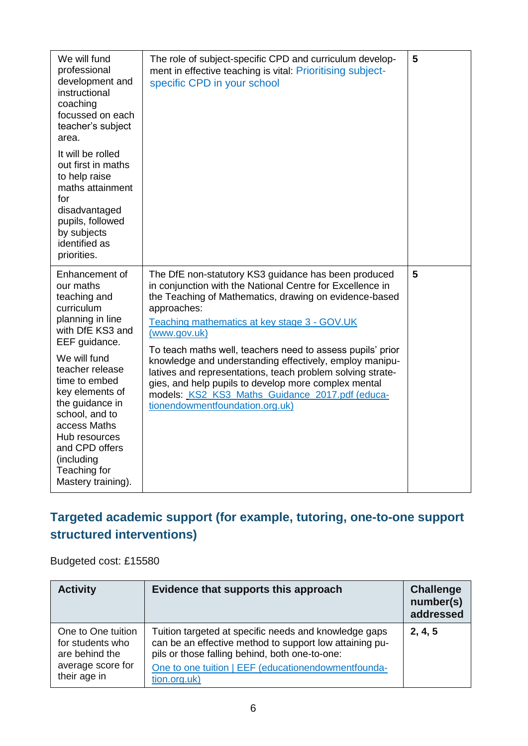| We will fund<br>professional<br>development and<br>instructional<br>coaching<br>focussed on each<br>teacher's subject<br>area.<br>It will be rolled<br>out first in maths<br>to help raise<br>maths attainment<br>for<br>disadvantaged<br>pupils, followed<br>by subjects<br>identified as<br>priorities.                             | The role of subject-specific CPD and curriculum develop-<br>ment in effective teaching is vital: Prioritising subject-<br>specific CPD in your school                                                                                                                                                                                                                                                                                                                                                                                                                                           | 5 |
|---------------------------------------------------------------------------------------------------------------------------------------------------------------------------------------------------------------------------------------------------------------------------------------------------------------------------------------|-------------------------------------------------------------------------------------------------------------------------------------------------------------------------------------------------------------------------------------------------------------------------------------------------------------------------------------------------------------------------------------------------------------------------------------------------------------------------------------------------------------------------------------------------------------------------------------------------|---|
| Enhancement of<br>our maths<br>teaching and<br>curriculum<br>planning in line<br>with DfE KS3 and<br>EEF guidance.<br>We will fund<br>teacher release<br>time to embed<br>key elements of<br>the guidance in<br>school, and to<br>access Maths<br>Hub resources<br>and CPD offers<br>(including<br>Teaching for<br>Mastery training). | The DfE non-statutory KS3 guidance has been produced<br>in conjunction with the National Centre for Excellence in<br>the Teaching of Mathematics, drawing on evidence-based<br>approaches:<br>Teaching mathematics at key stage 3 - GOV.UK<br>(www.gov.uk)<br>To teach maths well, teachers need to assess pupils' prior<br>knowledge and understanding effectively, employ manipu-<br>latives and representations, teach problem solving strate-<br>gies, and help pupils to develop more complex mental<br>models: KS2_KS3_Maths_Guidance_2017.pdf (educa-<br>tionendowmentfoundation.org.uk) | 5 |

## **Targeted academic support (for example, tutoring, one-to-one support structured interventions)**

Budgeted cost: £15580

| <b>Activity</b>                                          | Evidence that supports this approach                                                                                                                               | <b>Challenge</b><br>number(s)<br>addressed |
|----------------------------------------------------------|--------------------------------------------------------------------------------------------------------------------------------------------------------------------|--------------------------------------------|
| One to One tuition<br>for students who<br>are behind the | Tuition targeted at specific needs and knowledge gaps<br>can be an effective method to support low attaining pu-<br>pils or those falling behind, both one-to-one: | 2, 4, 5                                    |
| average score for<br>their age in                        | One to one tuition   EEF (educationendowmentfounda-<br>tion.org.uk)                                                                                                |                                            |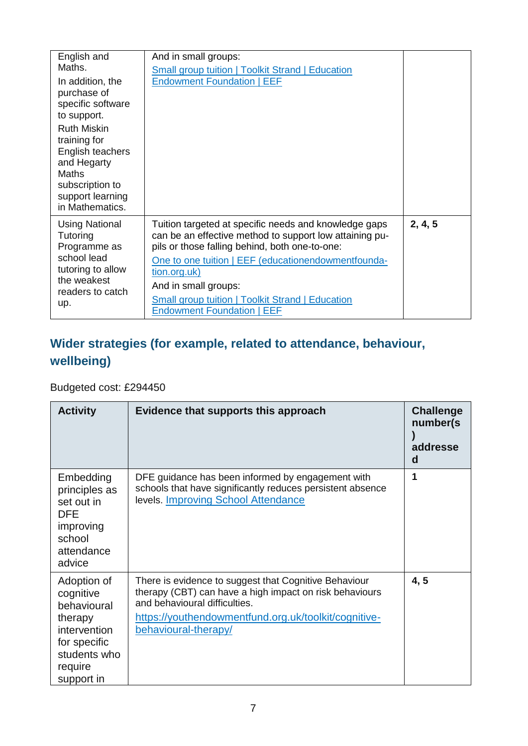| English and<br>Maths.<br>In addition, the<br>purchase of<br>specific software<br>to support.<br><b>Ruth Miskin</b><br>training for<br>English teachers<br>and Hegarty<br>Maths<br>subscription to<br>support learning<br>in Mathematics. | And in small groups:<br><b>Small group tuition   Toolkit Strand   Education</b><br><b>Endowment Foundation   EEF</b>                                                                                                                                                                                                                                              |         |
|------------------------------------------------------------------------------------------------------------------------------------------------------------------------------------------------------------------------------------------|-------------------------------------------------------------------------------------------------------------------------------------------------------------------------------------------------------------------------------------------------------------------------------------------------------------------------------------------------------------------|---------|
| <b>Using National</b><br>Tutoring<br>Programme as<br>school lead<br>tutoring to allow<br>the weakest<br>readers to catch<br>up.                                                                                                          | Tuition targeted at specific needs and knowledge gaps<br>can be an effective method to support low attaining pu-<br>pils or those falling behind, both one-to-one:<br>One to one tuition   EEF (educationendowmentfounda-<br>tion.org.uk)<br>And in small groups:<br><b>Small group tuition   Toolkit Strand   Education</b><br><b>Endowment Foundation   EEF</b> | 2, 4, 5 |

# **Wider strategies (for example, related to attendance, behaviour, wellbeing)**

#### Budgeted cost: £294450

| <b>Activity</b>                                                                                                             | Evidence that supports this approach                                                                                                                                                                                              | <b>Challenge</b><br>number(s)<br>addresse<br>d |
|-----------------------------------------------------------------------------------------------------------------------------|-----------------------------------------------------------------------------------------------------------------------------------------------------------------------------------------------------------------------------------|------------------------------------------------|
| Embedding<br>principles as<br>set out in<br>DFE.<br>improving<br>school<br>attendance<br>advice                             | DFE guidance has been informed by engagement with<br>schools that have significantly reduces persistent absence<br>levels. Improving School Attendance                                                                            | 1                                              |
| Adoption of<br>cognitive<br>behavioural<br>therapy<br>intervention<br>for specific<br>students who<br>require<br>support in | There is evidence to suggest that Cognitive Behaviour<br>therapy (CBT) can have a high impact on risk behaviours<br>and behavioural difficulties.<br>https://youthendowmentfund.org.uk/toolkit/cognitive-<br>behavioural-therapy/ | 4, 5                                           |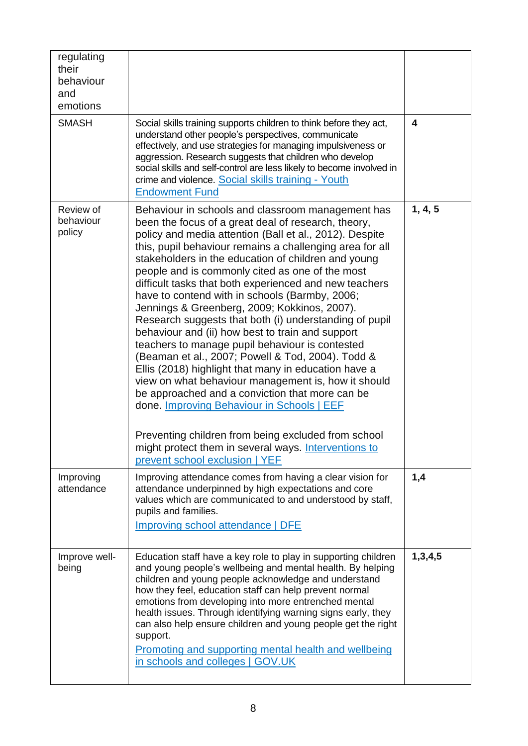| regulating<br>their<br>behaviour<br>and<br>emotions |                                                                                                                                                                                                                                                                                                                                                                                                                                                                                                                                                                                                                                                                                                                                                                                                                                                                                                                                             |         |
|-----------------------------------------------------|---------------------------------------------------------------------------------------------------------------------------------------------------------------------------------------------------------------------------------------------------------------------------------------------------------------------------------------------------------------------------------------------------------------------------------------------------------------------------------------------------------------------------------------------------------------------------------------------------------------------------------------------------------------------------------------------------------------------------------------------------------------------------------------------------------------------------------------------------------------------------------------------------------------------------------------------|---------|
| <b>SMASH</b>                                        | Social skills training supports children to think before they act,<br>understand other people's perspectives, communicate<br>effectively, and use strategies for managing impulsiveness or<br>aggression. Research suggests that children who develop<br>social skills and self-control are less likely to become involved in<br>crime and violence. Social skills training - Youth<br><b>Endowment Fund</b>                                                                                                                                                                                                                                                                                                                                                                                                                                                                                                                                | 4       |
| Review of<br>behaviour<br>policy                    | Behaviour in schools and classroom management has<br>been the focus of a great deal of research, theory,<br>policy and media attention (Ball et al., 2012). Despite<br>this, pupil behaviour remains a challenging area for all<br>stakeholders in the education of children and young<br>people and is commonly cited as one of the most<br>difficult tasks that both experienced and new teachers<br>have to contend with in schools (Barmby, 2006;<br>Jennings & Greenberg, 2009; Kokkinos, 2007).<br>Research suggests that both (i) understanding of pupil<br>behaviour and (ii) how best to train and support<br>teachers to manage pupil behaviour is contested<br>(Beaman et al., 2007; Powell & Tod, 2004). Todd &<br>Ellis (2018) highlight that many in education have a<br>view on what behaviour management is, how it should<br>be approached and a conviction that more can be<br>done. Improving Behaviour in Schools   EEF | 1, 4, 5 |
|                                                     | Preventing children from being excluded from school<br>might protect them in several ways. Interventions to<br>prevent school exclusion   YEF                                                                                                                                                                                                                                                                                                                                                                                                                                                                                                                                                                                                                                                                                                                                                                                               |         |
| Improving<br>attendance                             | Improving attendance comes from having a clear vision for<br>attendance underpinned by high expectations and core<br>values which are communicated to and understood by staff,<br>pupils and families.<br><b>Improving school attendance   DFE</b>                                                                                                                                                                                                                                                                                                                                                                                                                                                                                                                                                                                                                                                                                          | 1,4     |
| Improve well-<br>being                              | Education staff have a key role to play in supporting children<br>and young people's wellbeing and mental health. By helping<br>children and young people acknowledge and understand<br>how they feel, education staff can help prevent normal<br>emotions from developing into more entrenched mental<br>health issues. Through identifying warning signs early, they<br>can also help ensure children and young people get the right<br>support.<br>Promoting and supporting mental health and wellbeing<br>in schools and colleges   GOV.UK                                                                                                                                                                                                                                                                                                                                                                                              | 1,3,4,5 |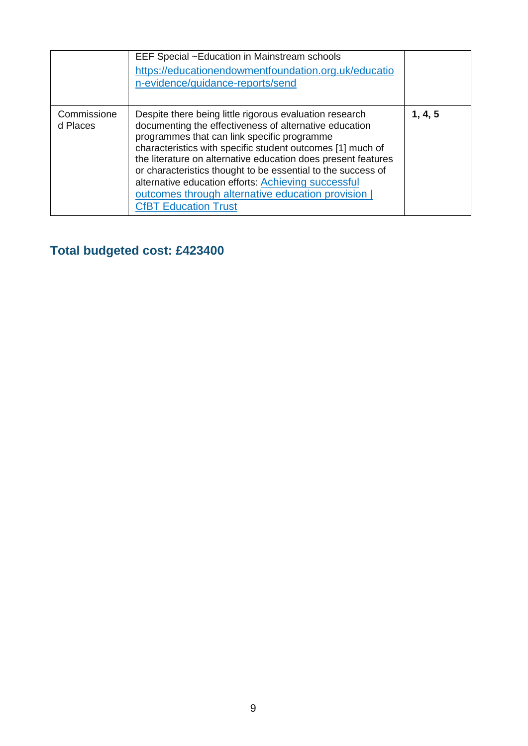|                         | EEF Special ~Education in Mainstream schools<br>https://educationendowmentfoundation.org.uk/educatio<br>n-evidence/guidance-reports/send                                                                                                                                                                                                                                                                                                                                                                    |         |
|-------------------------|-------------------------------------------------------------------------------------------------------------------------------------------------------------------------------------------------------------------------------------------------------------------------------------------------------------------------------------------------------------------------------------------------------------------------------------------------------------------------------------------------------------|---------|
| Commissione<br>d Places | Despite there being little rigorous evaluation research<br>documenting the effectiveness of alternative education<br>programmes that can link specific programme<br>characteristics with specific student outcomes [1] much of<br>the literature on alternative education does present features<br>or characteristics thought to be essential to the success of<br>alternative education efforts: Achieving successful<br>outcomes through alternative education provision  <br><b>CfBT Education Trust</b> | 1, 4, 5 |

# **Total budgeted cost: £423400**